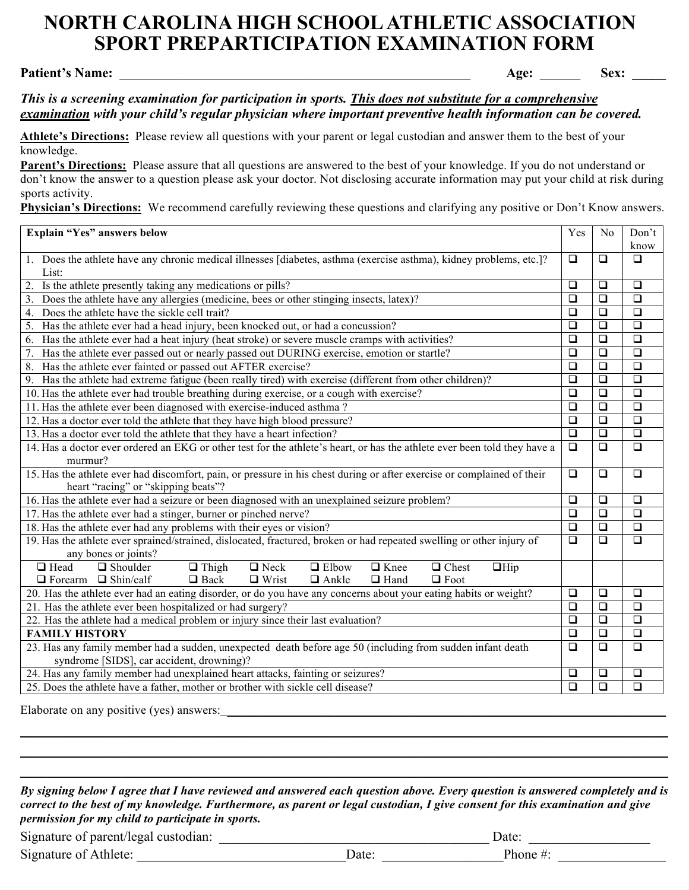## **NORTH CAROLINA HIGH SCHOOL ATHLETIC ASSOCIATION NORTH CAROLINA HIGH SCHOOL ATHLETIC ASSOCIATIONSPORT PREPARTICIPATION EXAMINATION FORM**

**Patient's Name:** \_\_\_\_\_\_\_\_\_\_\_\_\_\_\_\_\_\_\_\_\_\_\_\_\_\_\_\_\_\_\_\_\_\_\_\_\_\_\_\_\_\_\_\_\_\_\_\_\_\_\_\_ **Age:** \_\_\_\_\_\_ **Sex: \_\_\_\_\_**

## *This is a screening examination for participation in sports. This does not substitute for a comprehensive examination with your child's regular physician where important preventive health information can be covered.*

**Athlete's Directions:** Please review all questions with your parent or legal custodian and answer them to the best of your knowledge.

**Parent's Directions:** Please assure that all questions are answered to the best of your knowledge. If you do not understand or don't know the answer to a question please ask your doctor. Not disclosing accurate information may put your child at risk during sports activity.

**Physician's Directions:** We recommend carefully reviewing these questions and clarifying any positive or Don't Know answers.

| Explain "Yes" answers below                                                                                                | Yes    | N <sub>0</sub>   | Don't                |  |  |
|----------------------------------------------------------------------------------------------------------------------------|--------|------------------|----------------------|--|--|
|                                                                                                                            |        |                  | know                 |  |  |
| 1. Does the athlete have any chronic medical illnesses [diabetes, asthma (exercise asthma), kidney problems, etc.]?        | $\Box$ | $\Box$           | $\Box$               |  |  |
| List:                                                                                                                      |        |                  |                      |  |  |
| Is the athlete presently taking any medications or pills?<br>2.                                                            | $\Box$ | $\Box$           | $\Box$               |  |  |
| Does the athlete have any allergies (medicine, bees or other stinging insects, latex)?<br>3.                               | $\Box$ | $\Box$           | $\Box$               |  |  |
| Does the athlete have the sickle cell trait?<br>4.                                                                         | $\Box$ | $\Box$           | $\Box$               |  |  |
| Has the athlete ever had a head injury, been knocked out, or had a concussion?<br>5.                                       | $\Box$ | $\Box$<br>$\Box$ | $\Box$               |  |  |
| Has the athlete ever had a heat injury (heat stroke) or severe muscle cramps with activities?<br>6.                        |        |                  | $\Box$               |  |  |
| Has the athlete ever passed out or nearly passed out DURING exercise, emotion or startle?<br>7.                            | $\Box$ | $\Box$           | $\Box$               |  |  |
| Has the athlete ever fainted or passed out AFTER exercise?<br>8.                                                           | $\Box$ | $\Box$           | $\overline{\square}$ |  |  |
| Has the athlete had extreme fatigue (been really tired) with exercise (different from other children)?<br>9.               | $\Box$ | $\Box$           | $\Box$               |  |  |
| 10. Has the athlete ever had trouble breathing during exercise, or a cough with exercise?                                  | $\Box$ | $\Box$           | $\Box$               |  |  |
| 11. Has the athlete ever been diagnosed with exercise-induced asthma?                                                      | $\Box$ | $\Box$           | $\overline{\square}$ |  |  |
| 12. Has a doctor ever told the athlete that they have high blood pressure?                                                 |        |                  | $\Box$               |  |  |
| 13. Has a doctor ever told the athlete that they have a heart infection?                                                   |        |                  | $\Box$               |  |  |
| 14. Has a doctor ever ordered an EKG or other test for the athlete's heart, or has the athlete ever been told they have a  | $\Box$ | $\Box$           | $\Box$               |  |  |
| murmur?                                                                                                                    |        |                  |                      |  |  |
| 15. Has the athlete ever had discomfort, pain, or pressure in his chest during or after exercise or complained of their    | $\Box$ | $\Box$           | $\Box$               |  |  |
| heart "racing" or "skipping beats"?                                                                                        |        |                  |                      |  |  |
| 16. Has the athlete ever had a seizure or been diagnosed with an unexplained seizure problem?                              |        |                  | $\Box$               |  |  |
| 17. Has the athlete ever had a stinger, burner or pinched nerve?                                                           |        |                  | $\Box$               |  |  |
| 18. Has the athlete ever had any problems with their eyes or vision?                                                       |        |                  | $\Box$               |  |  |
| 19. Has the athlete ever sprained/strained, dislocated, fractured, broken or had repeated swelling or other injury of      |        |                  | $\Box$               |  |  |
| any bones or joints?                                                                                                       |        |                  |                      |  |  |
| $\Box$ Head<br>$\Box$ Neck<br>$\Box$ Shoulder<br>$\Box$ Thigh<br>$\Box$ Elbow<br>$\Box$ Knee<br>$\Box$ Chest<br>$\Box$ Hip |        |                  |                      |  |  |
| $\Box$ Forearm $\Box$ Shin/calf<br>$\Box$ Back<br>$\Box$ Wrist<br>$\Box$ Ankle<br>$\Box$ Hand<br>$\Box$ Foot               |        |                  |                      |  |  |
| 20. Has the athlete ever had an eating disorder, or do you have any concerns about your eating habits or weight?           |        |                  |                      |  |  |
| 21. Has the athlete ever been hospitalized or had surgery?                                                                 |        |                  | $\Box$               |  |  |
| 22. Has the athlete had a medical problem or injury since their last evaluation?                                           |        |                  | $\Box$               |  |  |
| <b>FAMILY HISTORY</b>                                                                                                      |        |                  | $\Box$               |  |  |
| 23. Has any family member had a sudden, unexpected death before age 50 (including from sudden infant death                 |        |                  | $\Box$               |  |  |
| syndrome [SIDS], car accident, drowning)?                                                                                  |        |                  |                      |  |  |
| 24. Has any family member had unexplained heart attacks, fainting or seizures?                                             | $\Box$ | $\Box$           | $\Box$               |  |  |
| 25. Does the athlete have a father, mother or brother with sickle cell disease?                                            |        |                  | $\Box$               |  |  |

Elaborate on any positive (yes) answers:

*By signing below I agree that I have reviewed and answered each question above. Every question is answered completely and is correct to the best of my knowledge. Furthermore, as parent or legal custodian, I give consent for this examination and give permission for my child to participate in sports.*

\_\_\_\_\_\_\_\_\_\_\_\_\_\_\_\_\_\_\_\_\_\_\_\_\_\_\_\_\_\_\_\_\_\_\_\_\_\_\_\_\_\_\_\_\_\_\_\_\_\_\_\_\_\_\_\_\_\_\_\_\_\_\_\_\_\_\_\_\_\_\_\_\_\_\_\_\_\_\_\_\_\_\_\_\_\_\_\_\_\_\_\_\_\_\_\_ \_\_\_\_\_\_\_\_\_\_\_\_\_\_\_\_\_\_\_\_\_\_\_\_\_\_\_\_\_\_\_\_\_\_\_\_\_\_\_\_\_\_\_\_\_\_\_\_\_\_\_\_\_\_\_\_\_\_\_\_\_\_\_\_\_\_\_\_\_\_\_\_\_\_\_\_\_\_\_\_\_\_\_\_\_\_\_\_\_\_\_\_\_\_\_\_ \_\_\_\_\_\_\_\_\_\_\_\_\_\_\_\_\_\_\_\_\_\_\_\_\_\_\_\_\_\_\_\_\_\_\_\_\_\_\_\_\_\_\_\_\_\_\_\_\_\_\_\_\_\_\_\_\_\_\_\_\_\_\_\_\_\_\_\_\_\_\_\_\_\_\_\_\_\_\_\_\_\_\_\_\_\_\_\_\_\_\_\_\_\_\_\_

| Signature of parent/legal custodian: |             | Jate <sup>-</sup> |  |
|--------------------------------------|-------------|-------------------|--|
| Signature of Athlete:                | <b>Jate</b> | Phone #           |  |